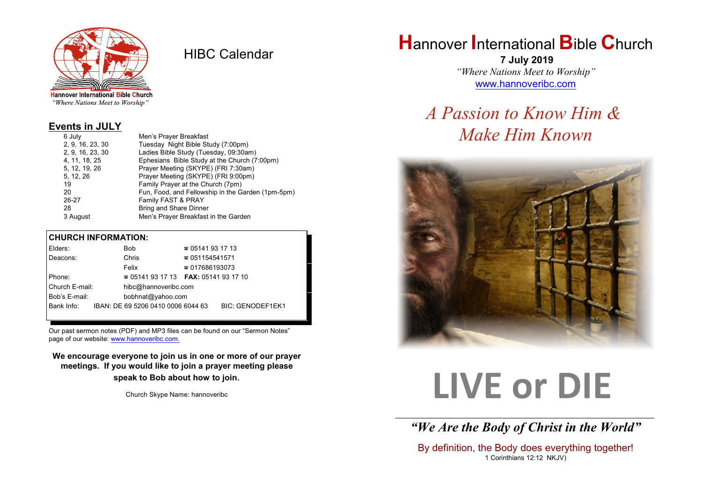

HIBC Calendar

"Where Nations Meet to Worship"

#### **Events in JULY**

| 6 July           | Men's Prayer Breakfast                            |
|------------------|---------------------------------------------------|
| 2, 9, 16, 23, 30 | Tuesday Night Bible Study (7:00pm)                |
| 2, 9, 16, 23, 30 | Ladies Bible Study (Tuesday, 09:30am)             |
| 4, 11, 18, 25    | Ephesians Bible Study at the Church (7:00pm)      |
| 5, 12, 19, 26    | Prayer Meeting (SKYPE) (FRI 7:30am)               |
| 5, 12, 26        | Prayer Meeting (SKYPE) (FRI 9:00pm)               |
| 19               | Family Prayer at the Church (7pm)                 |
| 20               | Fun, Food, and Fellowship in the Garden (1pm-5pm) |
| 26-27            | Family FAST & PRAY                                |
| 28               | <b>Bring and Share Dinner</b>                     |
| 3 August         | Men's Prayer Breakfast in the Garden              |

#### **CHURCH INFORMATION:**

| Elders:                            |  | <b>Bob</b>                                    | $\approx 05141931713$  |                         |
|------------------------------------|--|-----------------------------------------------|------------------------|-------------------------|
| Deacons:                           |  | Chris                                         | $\approx 051154541571$ |                         |
|                                    |  | Felix                                         | $\approx 017686193073$ |                         |
| Phone:                             |  | $\approx 05141931713$ FAX: 0514193 17 10      |                        |                         |
| Church E-mail:                     |  | hibc@hannoveribc.com                          |                        |                         |
| Bob's E-mail:<br>bobhnat@yahoo.com |  |                                               |                        |                         |
|                                    |  | Bank Info: IBAN: DE 69 5206 0410 0006 6044 63 |                        | <b>BIC: GENODEF1EK1</b> |
|                                    |  |                                               |                        |                         |

Our past sermon notes (PDF) and MP3 files can be found on our "Sermon Notes" page of our website: [www.hannoveribc.com.](http://www.hannoveribc.com.)

**We encourage everyone to join us in one or more of our prayer meetings. If you would like to join a prayer meeting please speak to Bob about how to join**.

Church Skype Name: hannoveribc

## **H**annover **I**nternational **B**ible **C**hurch

 **7 July 2019** *"Where Nations Meet to Worship"* [www.hannoveribc.com](http://www.hannoveribc.com)

## *A Passion to Know Him & Make Him Known*



# **LIVE or DIE**

\_\_\_\_\_\_\_\_\_\_\_\_\_\_\_\_\_\_\_\_\_\_\_\_\_\_\_\_\_\_\_\_\_\_\_\_\_\_\_\_\_\_\_\_\_\_\_\_\_\_\_\_\_\_\_\_\_\_\_\_\_\_ *"We Are the Body of Christ in the World"*

By definition, the Body does everything together! 1 Corinthians 12:12 NKJV)